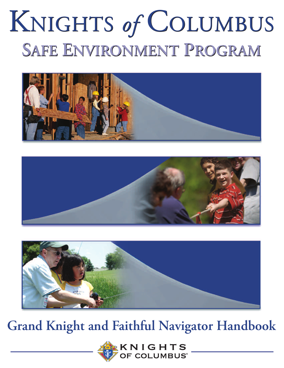# KNIGHTS *of* COLUMBUS KNIGHTS *of* COLUMBUS **SAFE ENVIRONMENT PROGRAM SAFE ENVIRONMENT PROGRAM**







# **Grand Knight and Faithful Navigator Handbook**

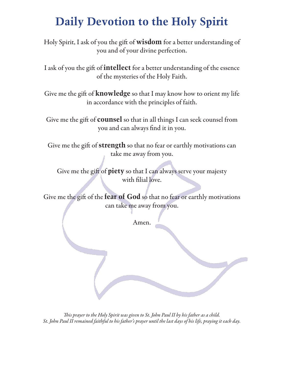# **Daily Devotion to the Holy Spirit**

Holy Spirit, I ask of you the gift of **wisdom** for a better understanding of you and of your divine perfection.

I ask of you the gift of **intellect** for a better understanding of the essence of the mysteries of the Holy Faith.

Give methe gift of **knowledge** so that I may know how to orient my life in accordance with the principles of faith.

Give me the gift of **counsel** so that in all things I can seek counsel from you and can always find it in you.

Give me the gift of **strength** so that no fear or earthly motivations can take me away from you.

Give me the gift of **piety** so that I can always serve your majesty with filial love.

Give methe gift of the**fear of God** so that no fear orearthly motivations can take me away from you.

Amen.

This prayer to the Holy Spirit was given to St. John Paul II by his father as a child. St. John Paul II remained faithful to his father's prayer until the last days of his life, praying it each day.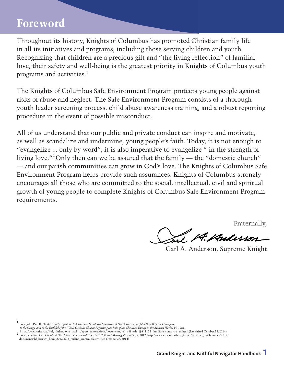# **Foreword**

Throughout its history, Knights of Columbus has promoted Christian family life in all its initiatives and programs, including those serving children and youth. Recognizing that children are a precious gift and "the living reflection" of familial love, their safety and well-being is the greatest priority in Knights of Columbus youth programs and activities. 1

The Knights of Columbus Safe Environment Program protects young people against risks of abuse and neglect. The Safe Environment Program consists of a thorough youth leader screening process, child abuse awareness training, and a robust reporting procedure in the event of possible misconduct.

All of us understand that our public and private conduct can inspire and motivate, as well as scandalize and undermine, young people's faith. Today, it is not enough to "evangelize ... only by word"; it is also imperative to evangelize " in the strength of living love."2 Only then can we be assured that the family — the "domestic church" — and our parish communities can grow in God's love. The Knights of Columbus Safe Environment Program helps provide such assurances. Knights of Columbus strongly encourages all those who are committed to the social, intellectual, civil and spiritual growth of young people to complete Knights of Columbus Safe Environment Program requirements.

Fraternally,

J. K. Kulisson

Carl A. Anderson, Supreme Knight

Pope John Paul II, On the Family: Apostolic Exhortation, Familiaris Consortio, of His Holiness Pope John Paul II to the Episcopate, to the Clergy and to the Faithful of the Whole Catholic Church Regarding the Role of the Christian Family in the Modern World, 14, 1981.

<sup>2</sup> http://www.vatican.va/holy\_father/john\_paul\_ii/apost\_exhortations/documents/hf\_jp-ii\_exh\_19811122\_familiaris-consortio\_en.html (last visited October 28, 2014)<br><sup>2</sup> Pope Benedict XVI, *Homily of His Holiness Pope Benedict* 

documents/hf\_ben-xvi\_hom\_20120603\_milano\_en.html (last visited October 28, 2014)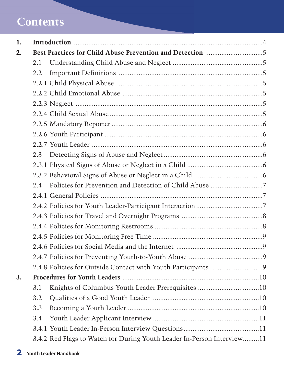# **Contents**

| 1. |     |                                                                        |  |
|----|-----|------------------------------------------------------------------------|--|
| 2. |     |                                                                        |  |
|    | 2.1 |                                                                        |  |
|    | 2.2 |                                                                        |  |
|    |     |                                                                        |  |
|    |     |                                                                        |  |
|    |     |                                                                        |  |
|    |     |                                                                        |  |
|    |     |                                                                        |  |
|    |     |                                                                        |  |
|    |     |                                                                        |  |
|    | 2.3 |                                                                        |  |
|    |     |                                                                        |  |
|    |     |                                                                        |  |
|    | 2.4 |                                                                        |  |
|    |     |                                                                        |  |
|    |     |                                                                        |  |
|    |     |                                                                        |  |
|    |     |                                                                        |  |
|    |     |                                                                        |  |
|    |     |                                                                        |  |
|    |     |                                                                        |  |
|    |     |                                                                        |  |
| 3. |     |                                                                        |  |
|    | 3.1 | Knights of Columbus Youth Leader Prerequisites 10                      |  |
|    | 3.2 |                                                                        |  |
|    | 3.3 |                                                                        |  |
|    | 3.4 |                                                                        |  |
|    |     |                                                                        |  |
|    |     | 3.4.2 Red Flags to Watch for During Youth Leader In-Person Interview11 |  |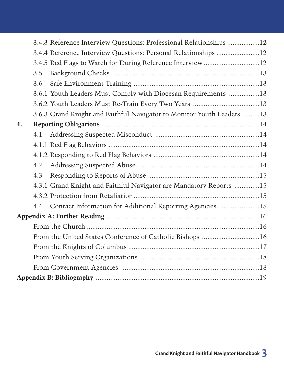|    |     | 3.4.3 Reference Interview Questions: Professional Relationships 12    |  |
|----|-----|-----------------------------------------------------------------------|--|
|    |     | 3.4.4 Reference Interview Questions: Personal Relationships 12        |  |
|    |     |                                                                       |  |
|    | 3.5 |                                                                       |  |
|    | 3.6 |                                                                       |  |
|    |     | 3.6.1 Youth Leaders Must Comply with Diocesan Requirements 13         |  |
|    |     |                                                                       |  |
|    |     | 3.6.3 Grand Knight and Faithful Navigator to Monitor Youth Leaders 13 |  |
| 4. |     |                                                                       |  |
|    | 4.1 |                                                                       |  |
|    |     |                                                                       |  |
|    |     |                                                                       |  |
|    | 4.2 |                                                                       |  |
|    | 4.3 |                                                                       |  |
|    |     | 4.3.1 Grand Knight and Faithful Navigator are Mandatory Reports 15    |  |
|    |     |                                                                       |  |
|    | 4.4 | Contact Information for Additional Reporting Agencies15               |  |
|    |     |                                                                       |  |
|    |     |                                                                       |  |
|    |     | From the United States Conference of Catholic Bishops 16              |  |
|    |     |                                                                       |  |
|    |     |                                                                       |  |
|    |     |                                                                       |  |
|    |     |                                                                       |  |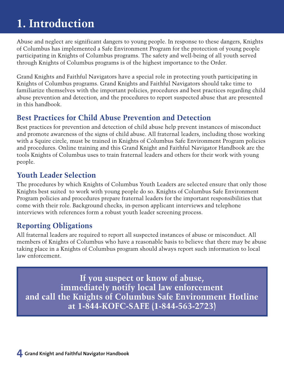# **1. Introduction**

Abuse and neglect are significant dangers to young people. In response to these dangers, Knights of Columbus has implemented a Safe Environment Program for the protection of young people participating in Knights of Columbus programs. The safety and well-being of all youth served through Knights of Columbus programs is of the highest importance to the Order.

Grand Knights and Faithful Navigators have a special role in protecting youth participating in Knights of Columbus programs. Grand Knights and Faithful Navigators should take time to familiarize themselves with the important policies, procedures and best practices regarding child abuse prevention and detection, and the procedures to report suspected abuse that are presented in this handbook.

#### **Best Practices for Child Abuse Prevention and Detection**

Best practices for prevention and detection of child abuse help prevent instances of misconduct and promote awareness of the signs of child abuse. All fraternal leaders, including those working with a Squire circle, must be trained in Knights of Columbus Safe Environment Program policies and procedures. Online training and this Grand Knight and Faithful Navigator Handbook are the tools Knights of Columbus uses to train fraternal leaders and others for their work with young people.

#### **Youth Leader Selection**

The procedures by which Knights of Columbus Youth Leaders are selected ensure that only those Knights best suited to work with young people do so. Knights of Columbus Safe Environment Program policies and procedures prepare fraternal leaders for the important responsibilities that come with their role. Background checks, in-person applicant interviews and telephone interviews with references form a robust youth leader screening process.

#### **Reporting Obligations**

All fraternal leaders are required to report all suspected instances of abuse or misconduct. All members of Knights of Columbus who have a reasonable basis to believe that there may be abuse taking place in a Knights of Columbus program should always report such information to local law enforcement.

**If you suspect or know of abuse, immediately notify local law enforcement and call the Knights of Columbus Safe Environment Hotline at 1-844-KOFC-SAFE (1-844-563-2723)**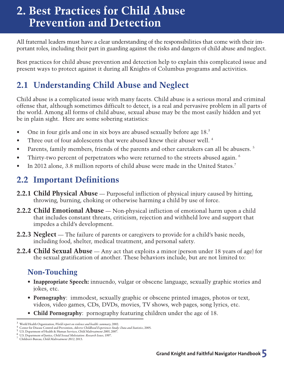# **2. Best Practices for Child Abuse Prevention and Detection**

All fraternal leaders must have a clear understanding of the responsibilities that come with their important roles, including their part in guarding against the risks and dangers of child abuse and neglect.

Best practices for child abuse prevention and detection help to explain this complicated issue and present ways to protect against it during all Knights of Columbus programs and activities.

# **2.1 Understanding Child Abuse and Neglect**

Child abuse is a complicated issue with many facets. Child abuse is a serious moral and criminal offense that, although sometimes difficult to detect, is a real and pervasive problem in all parts of the world. Among all forms of child abuse, sexual abuse may be the most easily hidden and yet be in plain sight. Here are some sobering statistics:

- One in four girls and one in six boys are abused sexually before age 18.
- Three out of four adolescents that were abused knew their abuser well.<sup>4</sup>
- Parents, family members, friends of the parents and other caretakers can all be abusers.<sup>5</sup>
- Thirty-two percent of perpetrators who were returned to the streets abused again. <sup>6</sup>
- In 2012 alone, 3.8 million reports of child abuse were made in the United States.<sup>7</sup>

### **2.2 Important Definitions**

- **2.2.1 Child Physical Abuse** Purposeful infliction of physical injury caused by hitting, throwing, burning, choking or otherwise harming a child by use of force.
- **2.2.2 Child Emotional Abuse** Non-physical infliction of emotional harm upon a child that includes constant threats, criticism, rejection and withheld love and support that impedes a child's development.
- **2.2.3 Neglect** The failure of parents or caregivers to provide for a child's basic needs, including food, shelter, medical treatment, and personal safety.
- **2.2.4 Child Sexual Abuse** Any act that exploits a minor (person under 18 years of age) for the sexual gratification of another. These behaviors include, but are not limited to:

### **Non-Touching**

- **Inappropriate Speech:** innuendo, vulgar or obscene language, sexually graphic stories and jokes, etc.
- **Pornography**: immodest, sexually graphic or obscene printed images, photos or text, videos, video games, CDs, DVDs, movies, TV shows, web pages, song lyrics, etc.
- **Child Pornography**: pornography featuring children under the age of 18.

 $^3$  World Health Organization, *World report on violence and bealth: summary*, 2002.<br>  $^4$  Center for Disease Control and Prevention, *Adverse Childhood Experiences Study: Data and Statistics*, 2005.<br>  $^5$  U.S. Departmen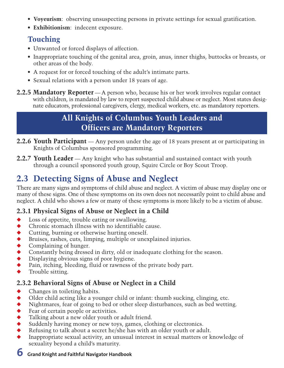- **Voyeurism**: observing unsuspecting persons in private settings for sexual gratification.
- **Exhibitionism**: indecent exposure.

### **Touching**

- Unwanted or forced displays of affection.
- Inappropriate touching of the genital area, groin, anus, inner thighs, buttocks or breasts, or other areas of the body.
- A request for or forced touching of the adult's intimate parts.
- Sexual relations with a person under 18 years of age.
- **2.2.5 Mandatory Reporter** A person who, because his or her work involves regular contact with children, is mandated by law to report suspected child abuse or neglect. Most states designate educators, professional caregivers, clergy, medical workers, etc. as mandatory reporters.

### **All Knights of Columbus Youth Leaders and Officers are Mandatory Reporters**

- **2.2.6 Youth Participant** Any person under the age of 18 years present at or participating in Knights of Columbus sponsored programming.
- **2.2.7 Youth Leader** Any knight who has substantial and sustained contact with youth through a council sponsored youth group, Squire Circle or Boy Scout Troop.

# **2.3 Detecting Signs of Abuse and Neglect**

There are many signs and symptoms of child abuse and neglect. A victim of abuse may display one or many of these signs. One of these symptoms on its own does not necessarily point to child abuse and neglect. A child who shows a few or many of these symptoms is more likely to be a victim of abuse.

#### **2.3.1 Physical Signs of Abuse or Neglect in a Child**

- $\bullet$  Loss of appetite, trouble eating or swallowing.
- $\bullet$  Chronic stomach illness with no identifiable cause.
- $\blacklozenge$  Cutting, burning or otherwise hurting oneself.
- $\blacklozenge$  Bruises, rashes, cuts, limping, multiple or unexplained injuries.
- $\bullet$  Complaining of hunger.
- Constantly being dressed in dirty, old or inadequate clothing for the season.<br>• Displaying obvious signs of poor hygiene.
- Displaying obvious signs of poor hygiene.
- $\blacklozenge$  Pain, itching, bleeding, fluid or rawness of the private body part.
- Trouble sitting.

#### **2.3.2 Behavioral Signs of Abuse or Neglect in a Child**

- Changes in toileting habits.
- $\blacklozenge$  Older child acting like a younger child or infant: thumb sucking, clinging, etc.
- $\blacklozenge$  Nightmares, fear of going to bed or other sleep disturbances, such as bed wetting.
- 
- ◆ Fear of certain people or activities.<br>
→ Talking about a new older youth or<br>
→ Suddenly having money or new toy Talking about a new older youth or adult friend.
- Suddenly having money or new toys, games, clothing or electronics.
- ◆ Refusing to talk about a secret he/she has with an older youth or adult.<br>◆ Inappropriate sexual activity, an unusual interest in sexual matters or k
- Inappropriate sexual activity, an unusual interest in sexual matters or knowledge of sexuality beyond a child's maturity.

#### **6 Grand Knight and Faithful Navigator Handbook**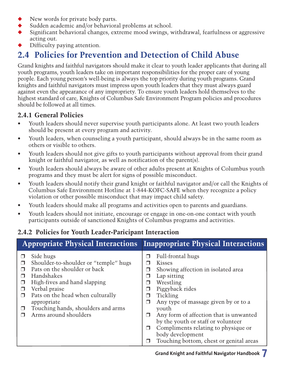- New words for private body parts.
- Sudden academic and/or behavioral problems at school.
- Significant behavioral changes, extreme mood swings, withdrawal, fearfulness or aggressive acting out.
- Difficulty paying attention.

# **2.4 Policies for Prevention and Detection of Child Abuse**

Grand knights and faithful navigators should make it clear to youth leader applicants that during all youth programs, youth leaders take on important responsibilities for the proper care of young people. Each young person's well-being is always the top priority during youth programs. Grand knights and faithful navigators must impress upon youth leaders that they must always guard against even the appearance of any impropriety. To ensure youth leaders hold themselves to the highest standard of care, Knights of Columbus Safe Environment Program policies and procedures should be followed at all times.

#### **2.4.1 General Policies**

- Youth leaders should never supervise youth participants alone. At least two youth leaders should be present at every program and activity.
- Youth leaders, when counseling a youth participant, should always be in the same room as others or visible to others.
- Youth leaders should not give gifts to youth participants without approval from their grand knight or faithful navigator, as well as notification of the parent(s).
- Youth leaders should always be aware of other adults present at Knights of Columbus youth programs and they must be alert for signs of possible misconduct.
- Youth leaders should notify their grand knight or faithful navigator and/or call the Knights of Columbus Safe Environment Hotline at 1-844-KOFC-SAFE when they recognize a policy violation or other possible misconduct that may impact child safety.
- Youth leaders should make all programs and activities open to parents and guardians.
- Youth leaders should not initiate, encourage or engage in one-on-one contact with youth participants outside of sanctioned Knights of Columbus programs and activities.

#### **2.4.2 Policies for Youth Leader-Paricipant Interaction**

| <b>Appropriate Physical Interactions</b>                      |                                                                                                                                                                                                                                                                     |                                                | <b>Inappropriate Physical Interactions</b>                                                                                                                                                                                                                                                                                                                                 |  |  |
|---------------------------------------------------------------|---------------------------------------------------------------------------------------------------------------------------------------------------------------------------------------------------------------------------------------------------------------------|------------------------------------------------|----------------------------------------------------------------------------------------------------------------------------------------------------------------------------------------------------------------------------------------------------------------------------------------------------------------------------------------------------------------------------|--|--|
| $\Box$<br>$\Box$<br>□<br>$\Box$<br>$\Box$<br>$\Box$<br>$\Box$ | Side hugs<br>Shoulder-to-shoulder or "temple" hugs<br>Pats on the shoulder or back<br>Handshakes<br>High-fives and hand slapping<br>Verbal praise<br>Pats on the head when culturally<br>appropriate<br>Touching hands, shoulders and arms<br>Arms around shoulders | □<br>$\Box$<br>$\Box$<br>П<br>⊓<br>$\Box$<br>⊓ | Full-frontal hugs<br><b>Kisses</b><br>Showing affection in isolated area<br>Lap sitting<br>Wrestling<br>Piggyback rides<br>Tickling<br>Any type of massage given by or to a<br>youth<br>Any form of affection that is unwanted<br>by the youth or staff or volunteer<br>Compliments relating to physique or<br>body development<br>Touching bottom, chest or genital areas |  |  |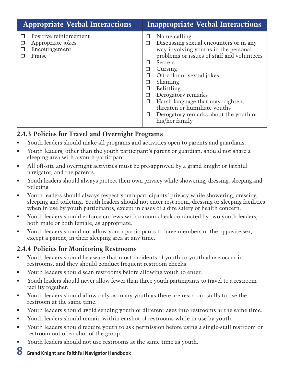| <b>Appropriate Verbal Interactions</b> |                                                                        |                                               | <b>Inappropriate Verbal Interactions</b>                                                                                                                                                                                                                                                                                                                                       |  |  |
|----------------------------------------|------------------------------------------------------------------------|-----------------------------------------------|--------------------------------------------------------------------------------------------------------------------------------------------------------------------------------------------------------------------------------------------------------------------------------------------------------------------------------------------------------------------------------|--|--|
|                                        | Positive reinforcement<br>Appropriate jokes<br>Encouragement<br>Praise | <b>Talent</b><br>$\Box$<br>П<br>⊓<br><b>I</b> | Name-calling<br>Discussing sexual encounters or in any<br>way involving youths in the personal<br>problems or issues of staff and volunteers<br>Secrets<br>Cursing<br>Off-color or sexual jokes<br>Shaming<br>Belittling<br>Derogatory remarks<br>Harsh language that may frighten,<br>threaten or humiliate youths<br>Derogatory remarks about the youth or<br>his/her family |  |  |

#### **2.4.3 Policies for Travel and Overnight Programs**

- Youth leaders should make all programs and activities open to parents and guardians.
- Youth leaders, other than the youth participant's parent or guardian, should not share a sleeping area with a youth participant.
- All off-site and overnight activities must be pre-approved by a grand knight or faithful navigator, and the parents.
- Youth leaders should always protect their own privacy while showering, dressing, sleeping and toileting.
- Youth leaders should always respect youth participants' privacy while showering, dressing, sleeping and toileting. Youth leaders should not enter rest room, dressing or sleeping facilities when in use by youth participants, except in cases of a dire safety or health concern.
- Youth leaders should enforce curfews with a room check conducted by two youth leaders, both male or both female, as appropriate.
- Youth leaders should not allow youth participants to have members of the opposite sex, except a parent, in their sleeping area at any time.

#### **2.4.4 Policies for Monitoring Restrooms**

- Youth leaders should be aware that most incidents of youth-to-youth abuse occur in restrooms, and they should conduct frequent restroom checks.
- Youth leaders should scan restrooms before allowing youth to enter.
- Youth leaders should never allow fewer than three youth participants to travel to a restroom facility together.
- Youth leaders should allow only as many youth as there are restroom stalls to use the restroom at the same time.
- Youth leaders should avoid sending youth of different ages into restrooms at the same time.
- Youth leaders should remain within earshot of restrooms while in use by youth.
- Youth leaders should require youth to ask permission before using a single-stall restroom or restroom out of earshot of the group.
- Youth leaders should not use restrooms at the same time as youth.
- **8 Grand Knight and Faithful Navigator Handbook**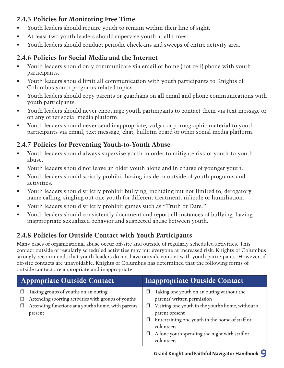#### **2.4.5 Policies for Monitoring Free Time**

- Youth leaders should require youth to remain within their line of sight.
- At least two youth leaders should supervise youth at all times.
- Youth leaders should conduct periodic check-ins and sweeps of entire activity area.

#### **2.4.6 Policies for Social Media and the Internet**

- Youth leaders should only communicate via email or home (not cell) phone with youth participants.
- Youth leaders should limit all communication with youth participants to Knights of Columbus youth programs-related topics.
- Youth leaders should copy parents or guardians on all email and phone communications with youth participants.
- Youth leaders should never encourage youth participants to contact them via text message or on any other social media platform.
- Youth leaders should never send inappropriate, vulgar or pornographic material to youth participants via email, text message, chat, bulletin board or other social media platform.

#### **2.4.7 Policies for Preventing Youth-to-Youth Abuse**

- Youth leaders should always supervise youth in order to mitigate risk of youth-to-youth abuse.
- Youth leaders should not leave an older youth alone and in charge of younger youth.
- Youth leaders should strictly prohibit hazing inside or outside of youth programs and activities.
- Youth leaders should strictly prohibit bullying, including but not limited to, derogatory name calling, singling out one youth for different treatment, ridicule or humiliation.
- Youth leaders should strictly prohibit games such as "Truth or Dare."
- Youth leaders should consistently document and report all instances of bullying, hazing, inappropriate sexualized behavior and suspected abuse between youth.

#### **2.4.8 Policies for Outside Contact with Youth Participants**

Many cases of organizational abuse occur off-site and outside of regularly scheduled activities. This contact outside of regularly scheduled activities may put everyone at increased risk. Knights of Columbus strongly recommends that youth leaders do not have outside contact with youth participants. However, if off-site contacts are unavoidable, Knights of Columbus has determined that the following forms of outside contact are appropriate and inappropriate:

| <b>Appropriate Outside Contact</b> |                                                                                                                                                               |  | <b>Inappropriate Outside Contact</b>                                                                                                                                                                                                                                           |  |  |
|------------------------------------|---------------------------------------------------------------------------------------------------------------------------------------------------------------|--|--------------------------------------------------------------------------------------------------------------------------------------------------------------------------------------------------------------------------------------------------------------------------------|--|--|
|                                    | Taking groups of youths on an outing<br>Attending sporting activities with groups of youths<br>Attending functions at a youth's home, with parents<br>present |  | Taking one youth on an outing without the<br>parents' written permission<br>Visiting one youth in the youth's home, without a<br>parent present<br>Entertaining one youth in the home of staff or<br>volunteers<br>A lone youth spending the night with staff or<br>volunteers |  |  |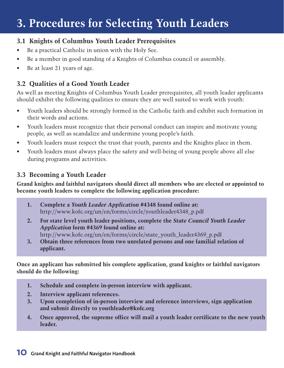# **3. Procedures for Selecting Youth Leaders**

#### **3.1 Knights of Columbus Youth Leader Prerequisites**

- Be a practical Catholic in union with the Holy See.
- Be a member in good standing of a Knights of Columbus council or assembly.
- Be at least 21 years of age.

#### **3.2 Qualities of a Good Youth Leader**

As well as meeting Knights of Columbus Youth Leader prerequisites, all youth leader applicants should exhibit the following qualities to ensure they are well suited to work with youth:

- Youth leaders should be strongly formed in the Catholic faith and exhibit such formation in their words and actions.
- Youth leaders must recognize that their personal conduct can inspire and motivate young people, as well as scandalize and undermine young people's faith.
- Youth leaders must respect the trust that youth, parents and the Knights place in them.
- Youth leaders must always place the safety and well-being of young people above all else during programs and activities.

#### **3.3 Becoming a Youth Leader**

**Grand knights and faithful navigators should direct all members who are elected or appointed to become youth leaders to complete the following application procedure:**

- **1. Complete a** *Youth Leader Application* **#4348 found online at:** http://www.kofc.org/un/en/forms/circle/youthleader4348\_p.pdf
- **2. For state level youth leader positions, complete the** *State Council Youth Leader Application* **form #4369 found online at:** http://www.kofc.org/un/en/forms/circle/state\_youth\_leader4369\_p.pdf
- **3. Obtain three references from two unrelated persons and one familial relation of applicant.**

**Once an applicant has submitted his complete application, grand knights or faithful navigators should do the following:**

- **1. Schedule and complete in-person interview with applicant.**
- **2. Interview applicant references.**
- **3. Upon completion of in-person interview and reference interviews, sign application and submit directly to youthleader@kofc.org**
- **4. Once approved, the supreme office will mail a youth leader certificate to the new youth leader.**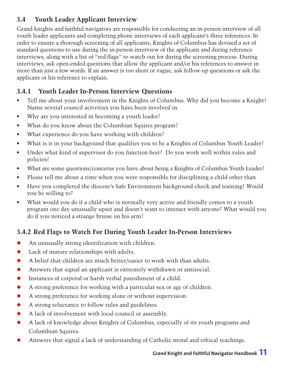#### **3.4 Youth Leader Applicant Interview**

Grand knights and faithful navigators are responsible for conducting an in-person interview of all youth leader applicants and completing phone interviews of each applicant's three references. In order to ensure a thorough screening of all applicants, Knights of Columbus has devised a set of standard questions to use during the in-person interview of the applicant and during reference interviews, along with a list of "red flags" to watch out for during the screening process. During interviews, ask open-ended questions that allow the applicant and/or his references to answer in more than just a few words. If an answer is too short or vague, ask follow-up questions or ask the applicant or his reference to explain.

#### **3.4.1 Youth Leader In-Person Interview Questions**

- Tell me about your involvement in the Knights of Columbus. Why did you become a Knight? Name several council activities you have been involved in.
- Why are you interested in becoming a youth leader?
- What do you know about the Columbian Squires program?
- What experience do you have working with children?
- What is it in your background that qualifies you to be a Knights of Columbus Youth Leader?
- Under what kind of supervisor do you function best? Do you work well within rules and policies?
- What are some questions/concerns you have about being a Knights of Columbus Youth Leader?
- Please tell me about a time when you were responsible for disciplining a child other than
- Have you completed the diocese's Safe Environment background check and training? Would you be willing to?
- What would you do if a child who is normally very active and friendly comes to a youth program one day unusually upset and doesn't want to interact with anyone? What would you do if you noticed a strange bruise on his arm?

#### **3.4.2 Red Flags to Watch For During Youth Leader In-Person Interviews**

- $\blacklozenge$  An unusually strong identification with children.
- $\blacklozenge$  Lack of mature relationships with adults.
- $\blacklozenge$  A belief that children are much better/easier to work with than adults.
- Answers that signal an applicant is extremely withdrawn or antisocial.
- $\blacklozenge$  Instances of corporal or harsh verbal punishment of a child.
- $\blacklozenge$  A strong preference for working with a particular sex or age of children.
- $\blacklozenge$  A strong preference for working alone or without supervision.
- $\blacklozenge$  A strong reluctance to follow rules and guidelines.
- $\blacklozenge$  A lack of involvement with local council or assembly.
- $\blacklozenge$  A lack of knowledge about Knights of Columbus, especially of its youth programs and Columbian Squires.
- Answers that signal a lack of understanding of Catholic moral and ethical teachings.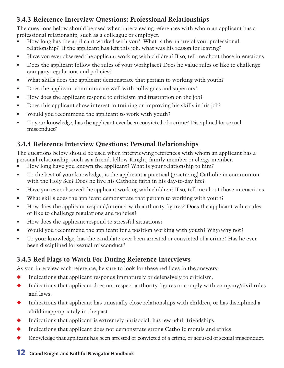#### **3.4.3 Reference Interview Questions: Professional Relationships**

The questions below should be used when interviewing references with whom an applicant has a professional relationship, such as a colleague or employer.

- How long has the applicant worked with you? What is the nature of your professional relationship? If the applicant has left this job, what was his reason for leaving?
- Have you ever observed the applicant working with children? If so, tell me about those interactions.
- Does the applicant follow the rules of your workplace? Does he value rules or like to challenge company regulations and policies?
- What skills does the applicant demonstrate that pertain to working with youth?
- Does the applicant communicate well with colleagues and superiors?
- How does the applicant respond to criticism and frustration on the job?
- Does this applicant show interest in training or improving his skills in his job?
- Would you recommend the applicant to work with youth?
- To your knowledge, has the applicant ever been convicted of a crime? Disciplined for sexual misconduct?

#### **3.4.4 Reference Interview Questions: Personal Relationships**

The questions below should be used when interviewing references with whom an applicant has a personal relationship, such as a friend, fellow Knight, family member or clergy member.

- How long have you known the applicant? What is your relationship to him?
- To the best of your knowledge, is the applicant a practical (practicing) Catholic in communion with the Holy See? Does he live his Catholic faith in his day-to-day life?
- Have you ever observed the applicant working with children? If so, tell me about those interactions.
- What skills does the applicant demonstrate that pertain to working with youth?
- How does the applicant respond/interact with authority figures? Does the applicant value rules or like to challenge regulations and policies?
- How does the applicant respond to stressful situations?
- Would you recommend the applicant for a position working with youth? Why/why not?
- To your knowledge, has the candidate ever been arrested or convicted of a crime? Has he ever been disciplined for sexual misconduct?

#### **3.4.5 Red Flags to Watch For During Reference Interviews**

As you interview each reference, be sure to look for these red flags in the answers:

- $\blacklozenge$  Indications that applicant responds immaturely or defensively to criticism.
- $\blacklozenge$  Indications that applicant does not respect authority figures or comply with company/civil rules and laws.
- $\blacklozenge$  Indications that applicant has unusually close relationships with children, or has disciplined a child inappropriately in the past.
- $\blacklozenge$  Indications that applicant is extremely antisocial, has few adult friendships.
- $\blacklozenge$  Indications that applicant does not demonstrate strong Catholic morals and ethics.
- $\blacklozenge$  Knowledge that applicant has been arrested or convicted of a crime, or accused of sexual misconduct.

#### **12 Grand Knight and Faithful Navigator Handbook**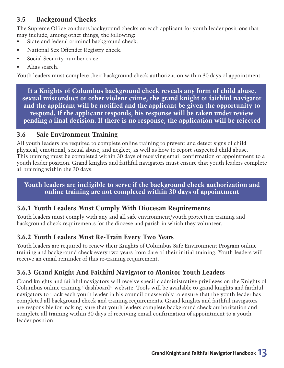#### **3.5 Background Checks**

The Supreme Office conducts background checks on each applicant for youth leader positions that may include, among other things, the following:

- State and federal criminal background check.
- National Sex Offender Registry check.
- Social Security number trace.
- Alias search.

Youth leaders must complete their background check authorization within 30 days of appointment.

**If a Knights of Columbus background check reveals any form of child abuse, sexual misconduct or other violent crime, the grand knight or faithful navigator and the applicant will be notified and the applicant be given the opportunity to respond. If the applicant responds, his response will be taken under review pending a final decision. If there is no response, the application will be rejected**

#### **3.6 Safe Environment Training**

All youth leaders are required to complete online training to prevent and detect signs of child physical, emotional, sexual abuse, and neglect, as well as how to report suspected child abuse. This training must be completed within 30 days of receiving email confirmation of appointment to a youth leader position. Grand knights and faithful navigators must ensure that youth leaders complete all training within the 30 days.

#### **Youth leaders are ineligible to serve if the background check authorization and online training are not completed within 30 days of appointment**

#### **3.6.1 Youth Leaders Must Comply With Diocesan Requirements**

Youth leaders must comply with any and all safe environment/youth protection training and background check requirements for the diocese and parish in which they volunteer.

#### **3.6.2 Youth Leaders Must Re-Train Every Two Years**

Youth leaders are required to renew their Knights of Columbus Safe Environment Program online training and background check every two years from date of their initial training. Youth leaders will receive an email reminder of this re-training requirement.

#### **3.6.3 Grand Knight And Faithful Navigator to Monitor Youth Leaders**

Grand knights and faithful navigators will receive specific administrative privileges on the Knights of Columbus online training "dashboard" website. Tools will be available to grand knights and faithful navigators to track each youth leader in his council or assembly to ensure that the youth leader has completed all background check and training requirements. Grand knights and faithful navigators are responsible for making sure that youth leaders complete background check authorization and complete all training within 30 days of receiving email confirmation of appointment to a youth leader position.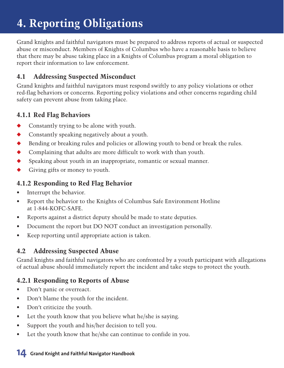# **4. Reporting Obligations**

Grand knights and faithful navigators must be prepared to address reports of actual or suspected abuse or misconduct. Members of Knights of Columbus who have a reasonable basis to believe that there may be abuse taking place in a Knights of Columbus program a moral obligation to report their information to law enforcement.

#### **4.1 Addressing Suspected Misconduct**

Grand knights and faithful navigators must respond swiftly to any policy violations or other red-flag behaviors or concerns. Reporting policy violations and other concerns regarding child safety can prevent abuse from taking place.

#### **4.1.1 Red Flag Behaviors**

- $\bullet$  Constantly trying to be alone with youth.
- $\blacklozenge$  Constantly speaking negatively about a youth.
- $\blacklozenge$  Bending or breaking rules and policies or allowing youth to bend or break the rules.
- $\bullet$  Complaining that adults are more difficult to work with than youth.
- $\blacklozenge$  Speaking about youth in an inappropriate, romantic or sexual manner.
- $\blacklozenge$  Giving gifts or money to youth.

#### **4.1.2 Responding to Red Flag Behavior**

- Interrupt the behavior.
- Report the behavior to the Knights of Columbus Safe Environment Hotline at 1-844-KOFC-SAFE.
- Reports against a district deputy should be made to state deputies.
- Document the report but DO NOT conduct an investigation personally.
- Keep reporting until appropriate action is taken.

#### **4.2 Addressing Suspected Abuse**

Grand knights and faithful navigators who are confronted by a youth participant with allegations of actual abuse should immediately report the incident and take steps to protect the youth.

#### **4.2.1 Responding to Reports of Abuse**

- Don't panic or overreact.
- Don't blame the youth for the incident.
- Don't criticize the youth.
- Let the youth know that you believe what he/she is saying.
- Support the youth and his/her decision to tell you.
- Let the youth know that he/she can continue to confide in you.

#### **14 Grand Knight and Faithful Navigator Handbook**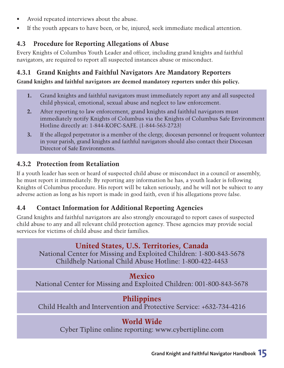- Avoid repeated interviews about the abuse.
- If the youth appears to have been, or be, injured, seek immediate medical attention.

#### **4.3 Procedure for Reporting Allegations of Abuse**

Every Knights of Columbus Youth Leader and officer, including grand knights and faithful navigators, are required to report all suspected instances abuse or misconduct.

#### **4.3.1 Grand Knights and Faithful Navigators Are Mandatory Reporters**

**Grand knights and faithful navigators are deemed mandatory reporters under this policy.**

- **1.** Grand knights and faithful navigators must immediately report any and all suspected child physical, emotional, sexual abuse and neglect to law enforcement.
- **2.** After reporting to law enforcement, grand knights and faithful navigators must immediately notify Knights of Columbus via the Knights of Columbus Safe Environment Hotline directly at: 1-844-KOFC-SAFE. (1-844-563-2723)
- **3.** If the alleged perpetrator is a member of the clergy, diocesan personnel or frequent volunteer in your parish, grand knights and faithful navigators should also contact their Diocesan Director of Safe Environments.

#### **4.3.2 Protection from Retaliation**

If a youth leader has seen or heard of suspected child abuse or misconduct in a council or assembly, he must report it immediately. By reporting any information he has, a youth leader is following Knights of Columbus procedure. His report will be taken seriously, and he will not be subject to any adverse action as long as his report is made in good faith, even if his allegations prove false.

#### **4.4 Contact Information for Additional Reporting Agencies**

Grand knights and faithful navigators are also strongly encouraged to report cases of suspected child abuse to any and all relevant child protection agency. These agencies may provide social services for victims of child abuse and their families.

#### **United States, U.S. Territories, Canada**

National Center for Missing and Exploited Children: 1-800-843-5678 Childhelp National Child Abuse Hotline: 1-800-422-4453

#### **Mexico**

National Center for Missing and Exploited Children: 001-800-843-5678

### **Philippines**

Child Health and Intervention and Protective Service: +632-734-4216

### **World Wide**

Cyber Tipline online reporting: www.cybertipline.com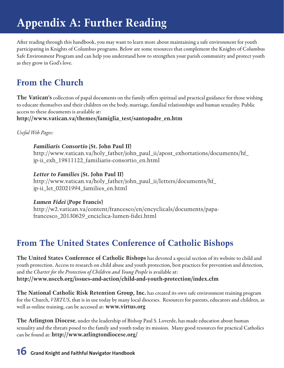# **Appendix A: Further Reading**

After reading through this handbook, you may want to learn more about maintaining a safeenvironment for youth participating in Knights of Columbus programs. Below are some resources that complement the Knights of Columbus Safe Environment Program and can help you understand how to strengthen your parish community and protect youth as they grow in God's love.

# **From the Church**

**The Vatican's** collection of papal documents on the family offers spiritual and practical guidance for those wishing to educate themselves and their children on the body, marriage, familial relationships and human sexuality. Public access to these documents is available at:

**http://www.vatican.va/themes/famiglia\_test/santopadre\_en.htm**

Useful Web Pages:

*Familiaris Consortio* **(St. John Paul II)** http://www.vatican.va/holy\_father/john\_paul\_ii/apost\_exhortations/documents/hf\_ jp-ii\_exh\_19811122\_familiaris-consortio\_en.html

*Letter to Families* **(St. John Paul II)** http://www.vatican.va/holy\_father/john\_paul\_ii/letters/documents/hf\_ jp-ii\_let\_02021994\_families\_en.html

*Lumen Fidei* **(Pope Francis)** http://w2.vatican.va/content/francesco/en/encyclicals/documents/papafrancesco\_20130629\_enciclica-lumen-fidei.html

# **From The United States Conference of Catholic Bishops**

**The United States Conference of Catholic Bishops** has devoted a special section of its websiteto child and youth protection. Access to research on child abuse and youth protection, best practices for prevention and detection, and the Charter for the Protection of Children and Young People is available at: **http://www.usccb.org/issues-and-action/child-and-youth-protection/index.cfm**

**The National Catholic Risk Retention Group, Inc.** hascreated its own safeenvironment training program for the Church, VIRTUS, that is in use today by many local dioceses. Resources for parents, educators and children, as well as online training, can be accessed at: **www.virtus.org** 

**The Arlington Diocese**, under the leadership of Bishop Paul S. Loverde, has made education about human sexuality and the threats posed to the family and youth today its mission. Many good resources for practical Catholics can befound at: **http://www.arlingtondiocese.org/**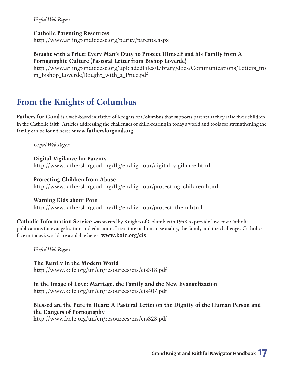Useful Web Pages:

**Catholic Parenting Resources** http://www.arlingtondiocese.org/purity/parents.aspx

#### **Bought with a Price: Every Man's Duty to Protect Himself and his Family from A Pornographic Culture (Pastoral Letter from Bishop Loverde)**

http://www.arlingtondiocese.org/uploadedFiles/Library/docs/Communications/Letters\_fro m\_Bishop\_Loverde/Bought\_with\_a\_Price.pdf

### **From the Knights of Columbus**

**Fathers for Good** is a web-based initiative of Knights of Columbus that supports parents as they raise their children in the Catholic faith. Articles addressing the challenges of child-rearing in today's world and tools for strengthening the family can befound here: **www.fathersforgood.org**

Useful Web Pages:

**Digital Vigilance for Parents** http://www.fathersforgood.org/ffg/en/big\_four/digital\_vigilance.html

**Protecting Children from Abuse** http://www.fathersforgood.org/ffg/en/big\_four/protecting\_children.html

**Warning Kids about Porn** http://www.fathersforgood.org/ffg/en/big\_four/protect\_them.html

**Catholic Information Service** was started by Knights of Columbus in 1948 to provide low-cost Catholic publications for evangelization and education. Literature on human sexuality, the family and the challenges Catholics facein today's world are available here: **www.kofc.org/cis**

Useful Web Pages:

**The Family in the Modern World** http://www.kofc.org/un/en/resources/cis/cis318.pdf

**In the Image of Love: Marriage, the Family and the New Evangelization** http://www.kofc.org/un/en/resources/cis/cis407.pdf

**Blessed are the Pure in Heart: A Pastoral Letter on the Dignity of the Human Person and the Dangers of Pornography**

http://www.kofc.org/un/en/resources/cis/cis323.pdf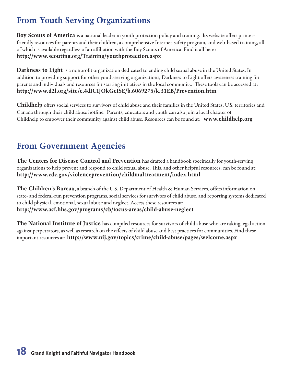# **From Youth Serving Organizations**

**Boy Scouts of America** is a national leader in youth protection policy and training. Its website offers printerfriendly resources for parents and their children, a comprehensive Internet-safety program, and web-based training, all of which is available regardless of an affiliation with the Boy Scouts of America. Find it all here: **http://www.scouting.org/Training/youthprotection.aspx**

**Darkness to Light** is a nonprofit organization dedicated to ending child sexual abusein the United States. In addition to providing support for other youth-serving organizations, Darkness to Light offers awareness training for parents and individuals and resources for starting initiatives in the local community. These tools can be accessed at: **http://www.d2l.org/site/c.4dICIJOkGcISE/b.6069275/k.31EB/Prevention.htm**

**Childhelp** offers social services to survivors of child abuse and their families in the United States, U.S. territories and Canada through their child abuse hotline. Parents, educators and youth can also join a local chapter of Childhelp to empower their community against child abuse. Resources can be found at: **www.childhelp.org** 

### **From Government Agencies**

**The Centers for Disease Control and Prevention** has drafted a handbook specifically for youth-serving organizations to help prevent and respond to child sexual abuse. This, and other helpful resources,can befound at: **http://www.cdc.gov/violenceprevention/childmaltreatment/index.html**

**The Children's Bureau**, a branch of the U.S. Department of Health & Human Services, offers information on state- and federal-run prevention programs, social services for survivors ofchild abuse, and reporting systems dedicated to child physical, emotional, sexual abuse and neglect. Access these resources at: **http://www.acf.hhs.gov/programs/cb/focus-areas/child-abuse-neglect**

**The National Institute of Justice** has compiled resources for survivors of child abuse who are taking legal action against perpetrators, as well as research on the effects of child abuse and best practices for communities. Find these important resources at: **http://www.nij.gov/topics/crime/child-abuse/pages/welcome.aspx**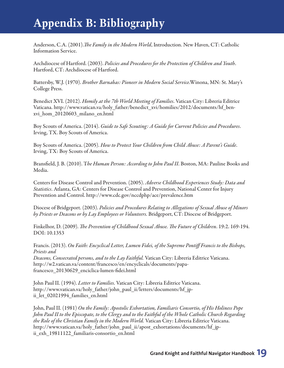# **Appendix B: Bibliography**

Anderson, C.A. (2001).The Family in the Modern World, Introduction. New Haven, CT: Catholic Information Service.

Archdiocese of Hartford. (2003). Policies and Procedures for the Protection of Children and Youth. Hartford, CT: Archdiocese of Hartford.

Battersby, W.J. (1970). Brother Barnabas: Pioneer in Modern Social Service.Winona, MN: St. Mary's College Press.

Benedict XVI. (2012). Homily at the 7th World Meeting of Families. Vatican City: Libreria Editrice Vaticana. http://www.vatican.va/holy\_father/benedict\_xvi/homilies/2012/documents/hf\_benxvi\_hom\_20120603\_milano\_en.html

Boy Scouts of America. (2014). Guide to Safe Scouting: A Guide for Current Policies and Procedures. Irving, TX. Boy Scouts of America.

Boy Scouts of America. (2005). How to Protect Your Children from Child Abuse: A Parent's Guide. Irving, TX: Boy Scouts of America.

Bransfield, J. B. (2010). The Human Person: According to John Paul II. Boston, MA: Pauline Books and Media.

Centers for Disease Control and Prevention. (2005). Adverse Childhood Experiences Study: Data and Statistics. Atlanta, GA: Centers for Disease Control and Prevention, National Center for Injury Prevention and Control. http://www.cdc.gov/nccdphp/ace/prevalence.htm

Diocese of Bridgeport. (2003). Policies and Procedures Relating to Allegations of Sexual Abuse of Minors by Priests or Deacons or by Lay Employees or Volunteers. Bridgeport, CT: Diocese of Bridgeport.

Finkelhor, D. (2009). The Prevention of Childhood Sexual Abuse. The Future of Children. 19:2. 169-194. DOI: 10.1353

Francis. (2013). On Faith: Encyclical Letter, Lumen Fidei, of the Supreme Pontiff Francis to the Bishops, Priests and Deacons, Consecrated persons, and to the Lay Faithful. Vatican City: Libreria Editrice Vaticana. http://w2.vatican.va/content/francesco/en/encyclicals/documents/papafrancesco\_20130629\_enciclica-lumen-fidei.html

John Paul II. (1994). Letter to Families. Vatican City: Libreria Editrice Vaticana. http://www.vatican.va/holy\_father/john\_paul\_ii/letters/documents/hf\_jpii let 02021994 families en.html

John, Paul II. (1981) On the Family: Apostolic Exhortation, Familiaris Consortio, of His Holiness Pope John Paul II to the Episcopate, to the Clergy and to the Faithful of the Whole Catholic Church Regarding the Role of the Christian Family in the Modern World. Vatican City: Libreria Editrice Vaticana. http://www.vatican.va/holy\_father/john\_paul\_ii/apost\_exhortations/documents/hf\_jpii\_exh\_19811122\_familiaris-consortio\_en.html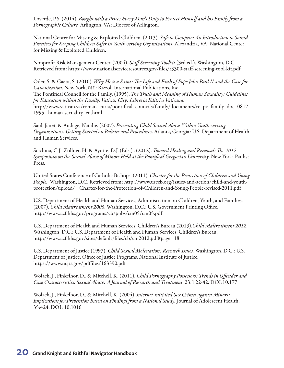Loverde, P.S. (2014). Bought with a Price: Every Man's Duty to Protect Himself and his Family from a Pornographic Culture. Arlington, VA: Diocese of Arlington.

National Center for Missing & Exploited Children. (2013). Safe to Compete: An Introduction to Sound Practices for Keeping Children Safer in Youth-serving Organizations. Alexandria, VA: National Center for Missing & Exploited Children.

Nonprofit Risk Management Center. (2004). Staff Screening Toolkit (3rd ed.). Washington, D.C. Retrieved from: https://www.nationalserviceresources.gov/files/r3300-staff-screening-tool-kit.pdf

Oder, S. & Gaeta, S. (2010). Why He is a Saint: The Life and Faith of Pope John Paul II and the Case for Canonization. New York, NY: Rizzoli International Publications, Inc. The Pontifical Council for the Family. (1995). The Truth and Meaning of Human Sexuality: Guidelines for Education within the Family. Vatican City: Libreria Editrice Vaticana. http://www.vatican.va/roman\_curia/pontifical\_councils/family/documents/rc\_pc\_family\_doc\_0812 1995\_ human-sexuality\_en.html

Saul, Janet, & Audage, Natalie. (2007). Preventing Child Sexual Abuse Within Youth-serving Organizations: Getting Started on Policies and Procedures. Atlanta, Georgia: U.S. Department of Health and Human Services.

Scicluna, C.J., Zollner, H. & Ayotte, D.J. (Eds.) . (2012). Toward Healing and Renewal: The 2012 Symposium on the Sexual Abuse of Minors Held at the Pontifical Gregorian University. New York: Paulist Press.

United States Conference of Catholic Bishops. (2011). Charter for the Protection of Children and Young People. Washington, D.C. Retrieved from: http://www.usccb.org/issues-and-action/child-and-youthprotection/upload/ Charter-for-the-Protection-of-Children-and-Young-People-revised-2011.pdf

U.S. Department of Health and Human Services, Administration on Children, Youth, and Families. (2007). Child Maltreatment 2005. Washington, D.C.: U.S. Government Printing Office. http://www.acf.hhs.gov/programs/cb/pubs/cm05/cm05.pdf

U.S. Department of Health and Human Services, Children's Bureau (2013). Child Maltreatment 2012. Washington, D.C.: U.S. Department of Health and Human Services, Children's Bureau. http://www.acf.hhs.gov/sites/default/files/cb/cm2012.pdf#page=18

U.S. Department of Justice (1997). Child Sexual Molestation: Research Issues. Washington, D.C.: U.S. Department of Justice, Office of Justice Programs, National Institute of Justice. https://www.ncjrs.gov/pdffiles/163390.pdf

Wolack, J., Finkelhor, D., & Mitchell, K. (2011). *Child Pornography Possessors: Trends in Offender and* Case Characteristics. Sexual Abuse: A Journal of Research and Treatment. 23:1 22-42. DOI:10.177

Wolack, J., Finkelhor, D., & Mitchell, K. (2004). Internet-initiated Sex Crimes against Minors: Implications for Prevention Based on Findings from a National Study. Journal of Adolescent Health. 35:424. DOI: 10.1016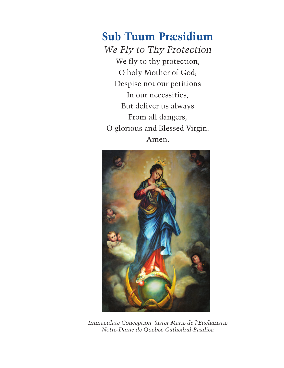# **Sub Tuum Præsidium**

*We Fly to Thy Protection* We fly to thy protection, O holy Mother of God; Despise not our petitions In our necessities, But deliver us always From all dangers, O glorious and Blessed Virgin. Amen.



*Immaculate Conception, Sister Marie de l'Eucharistie Notre-Dame de Quèbec Cathedral-Basilica*